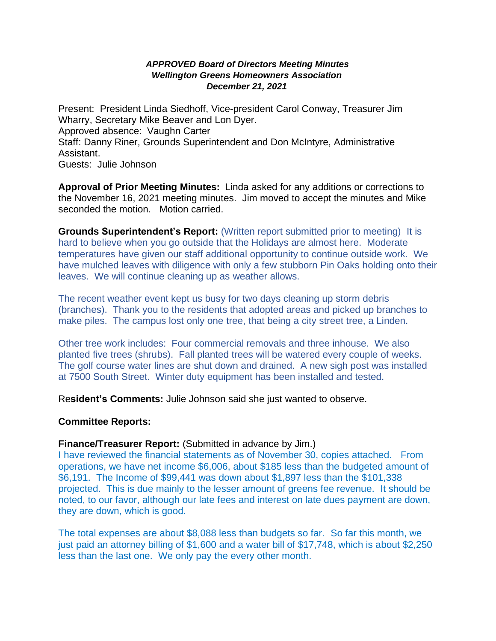### *APPROVED Board of Directors Meeting Minutes Wellington Greens Homeowners Association December 21, 2021*

Present: President Linda Siedhoff, Vice-president Carol Conway, Treasurer Jim Wharry, Secretary Mike Beaver and Lon Dyer. Approved absence: Vaughn Carter Staff: Danny Riner, Grounds Superintendent and Don McIntyre, Administrative Assistant. Guests: Julie Johnson

**Approval of Prior Meeting Minutes:** Linda asked for any additions or corrections to the November 16, 2021 meeting minutes. Jim moved to accept the minutes and Mike seconded the motion. Motion carried.

**Grounds Superintendent's Report:** (Written report submitted prior to meeting) It is hard to believe when you go outside that the Holidays are almost here. Moderate temperatures have given our staff additional opportunity to continue outside work. We have mulched leaves with diligence with only a few stubborn Pin Oaks holding onto their leaves. We will continue cleaning up as weather allows.

The recent weather event kept us busy for two days cleaning up storm debris (branches). Thank you to the residents that adopted areas and picked up branches to make piles. The campus lost only one tree, that being a city street tree, a Linden.

Other tree work includes: Four commercial removals and three inhouse. We also planted five trees (shrubs). Fall planted trees will be watered every couple of weeks. The golf course water lines are shut down and drained. A new sigh post was installed at 7500 South Street. Winter duty equipment has been installed and tested.

Re**sident's Comments:** Julie Johnson said she just wanted to observe.

### **Committee Reports:**

### **Finance/Treasurer Report:** (Submitted in advance by Jim.)

I have reviewed the financial statements as of November 30, copies attached. From operations, we have net income \$6,006, about \$185 less than the budgeted amount of \$6,191. The Income of \$99,441 was down about \$1,897 less than the \$101,338 projected. This is due mainly to the lesser amount of greens fee revenue. It should be noted, to our favor, although our late fees and interest on late dues payment are down, they are down, which is good.

The total expenses are about \$8,088 less than budgets so far. So far this month, we just paid an attorney billing of \$1,600 and a water bill of \$17,748, which is about \$2,250 less than the last one. We only pay the every other month.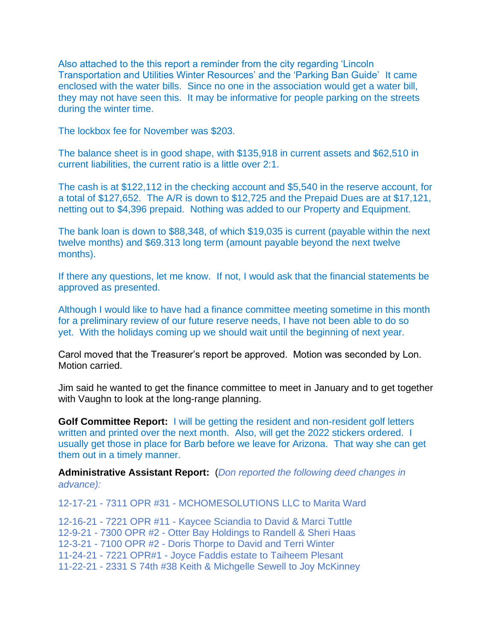Also attached to the this report a reminder from the city regarding 'Lincoln Transportation and Utilities Winter Resources' and the 'Parking Ban Guide' It came enclosed with the water bills. Since no one in the association would get a water bill, they may not have seen this. It may be informative for people parking on the streets during the winter time.

The lockbox fee for November was \$203.

The balance sheet is in good shape, with \$135,918 in current assets and \$62,510 in current liabilities, the current ratio is a little over 2:1.

The cash is at \$122,112 in the checking account and \$5,540 in the reserve account, for a total of \$127,652. The A/R is down to \$12,725 and the Prepaid Dues are at \$17,121, netting out to \$4,396 prepaid. Nothing was added to our Property and Equipment.

The bank loan is down to \$88,348, of which \$19,035 is current (payable within the next twelve months) and \$69.313 long term (amount payable beyond the next twelve months).

If there any questions, let me know. If not, I would ask that the financial statements be approved as presented.

Although I would like to have had a finance committee meeting sometime in this month for a preliminary review of our future reserve needs, I have not been able to do so yet. With the holidays coming up we should wait until the beginning of next year.

Carol moved that the Treasurer's report be approved. Motion was seconded by Lon. Motion carried.

Jim said he wanted to get the finance committee to meet in January and to get together with Vaughn to look at the long-range planning.

**Golf Committee Report:** I will be getting the resident and non-resident golf letters written and printed over the next month. Also, will get the 2022 stickers ordered. I usually get those in place for Barb before we leave for Arizona. That way she can get them out in a timely manner.

**Administrative Assistant Report:** (*Don reported the following deed changes in advance):*

12-17-21 - 7311 OPR #31 - MCHOMESOLUTIONS LLC to Marita Ward

12-16-21 - 7221 OPR #11 - Kaycee Sciandia to David & Marci Tuttle 12-9-21 - 7300 OPR #2 - Otter Bay Holdings to Randell & Sheri Haas 12-3-21 - 7100 OPR #2 - Doris Thorpe to David and Terri Winter 11-24-21 - 7221 OPR#1 - Joyce Faddis estate to Taiheem Plesant 11-22-21 - 2331 S 74th #38 Keith & Michgelle Sewell to Joy McKinney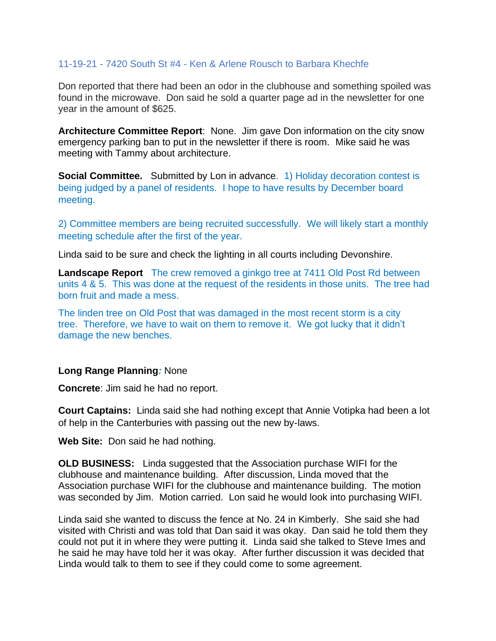# 11-19-21 - 7420 South St #4 - Ken & Arlene Rousch to Barbara Khechfe

Don reported that there had been an odor in the clubhouse and something spoiled was found in the microwave. Don said he sold a quarter page ad in the newsletter for one year in the amount of \$625.

**Architecture Committee Report**: None. Jim gave Don information on the city snow emergency parking ban to put in the newsletter if there is room. Mike said he was meeting with Tammy about architecture.

**Social Committee.** Submitted by Lon in advance. 1) Holiday decoration contest is being judged by a panel of residents. I hope to have results by December board meeting.

2) Committee members are being recruited successfully. We will likely start a monthly meeting schedule after the first of the year.

Linda said to be sure and check the lighting in all courts including Devonshire.

**Landscape Report** The crew removed a ginkgo tree at 7411 Old Post Rd between units 4 & 5. This was done at the request of the residents in those units. The tree had born fruit and made a mess.

The linden tree on Old Post that was damaged in the most recent storm is a city tree. Therefore, we have to wait on them to remove it. We got lucky that it didn't damage the new benches.

## **Long Range Planning***:* None

**Concrete**: Jim said he had no report.

**Court Captains:** Linda said she had nothing except that Annie Votipka had been a lot of help in the Canterburies with passing out the new by-laws.

**Web Site:** Don said he had nothing.

**OLD BUSINESS:** Linda suggested that the Association purchase WIFI for the clubhouse and maintenance building. After discussion, Linda moved that the Association purchase WIFI for the clubhouse and maintenance building. The motion was seconded by Jim. Motion carried. Lon said he would look into purchasing WIFI.

Linda said she wanted to discuss the fence at No. 24 in Kimberly. She said she had visited with Christi and was told that Dan said it was okay. Dan said he told them they could not put it in where they were putting it. Linda said she talked to Steve Imes and he said he may have told her it was okay. After further discussion it was decided that Linda would talk to them to see if they could come to some agreement.